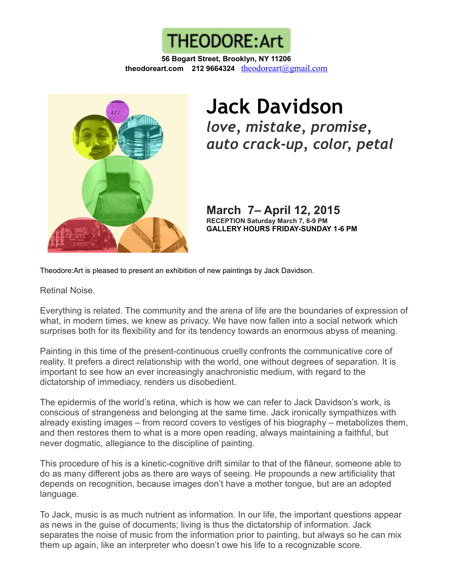

**56 Bogart Street, Brooklyn, NY 11206 theodoreart.com 212 9664324** [theodoreart@gmail.com](mailto:theodoreart@gmail.com)



## **Jack Davidson** *love, mistake, promise, auto crack-up, color, petal*

**March 7– April 12, 2015 RECEPTION Saturday March 7, 6-9 PM GALLERY HOURS FRIDAY-SUNDAY 1-6 PM**

Theodore:Art is pleased to present an exhibition of new paintings by Jack Davidson.

Retinal Noise.

Everything is related. The community and the arena of life are the boundaries of expression of what, in modern times, we knew as privacy. We have now fallen into a social network which surprises both for its flexibility and for its tendency towards an enormous abyss of meaning.

Painting in this time of the present-continuous cruelly confronts the communicative core of reality. It prefers a direct relationship with the world, one without degrees of separation. It is important to see how an ever increasingly anachronistic medium, with regard to the dictatorship of immediacy, renders us disobedient.

The epidermis of the world's retina, which is how we can refer to Jack Davidson's work, is conscious of strangeness and belonging at the same time. Jack ironically sympathizes with already existing images – from record covers to vestiges of his biography – metabolizes them, and then restores them to what is a more open reading, always maintaining a faithful, but never dogmatic, allegiance to the discipline of painting.

This procedure of his is a kinetic-cognitive drift similar to that of the flâneur, someone able to do as many different jobs as there are ways of seeing. He propounds a new artificiality that depends on recognition, because images don't have a mother tongue, but are an adopted language.

To Jack, music is as much nutrient as information. In our life, the important questions appear as news in the guise of documents; living is thus the dictatorship of information. Jack separates the noise of music from the information prior to painting, but always so he can mix them up again, like an interpreter who doesn't owe his life to a recognizable score.